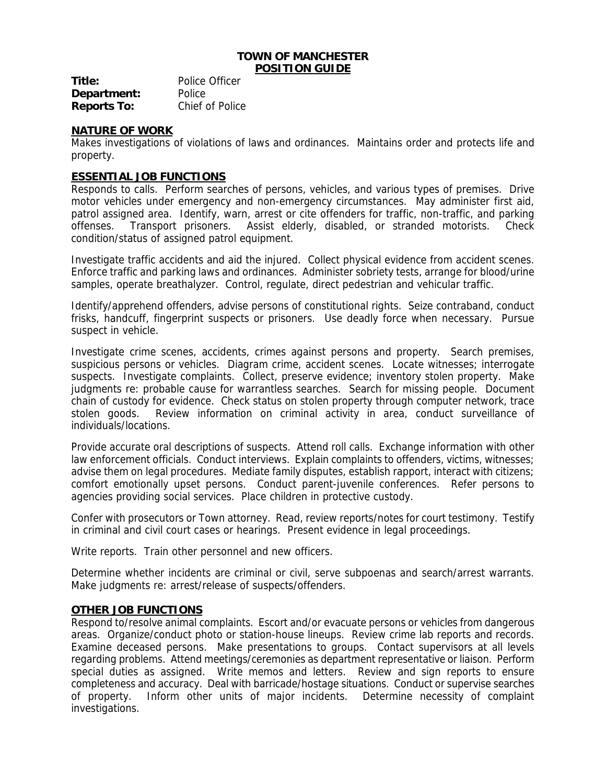#### **TOWN OF MANCHESTER POSITION GUIDE**

| Title:             | Police Officer  |
|--------------------|-----------------|
| Department:        | Police          |
| <b>Reports To:</b> | Chief of Police |

### **NATURE OF WORK**

Makes investigations of violations of laws and ordinances. Maintains order and protects life and property.

### **ESSENTIAL JOB FUNCTIONS**

Responds to calls. Perform searches of persons, vehicles, and various types of premises. Drive motor vehicles under emergency and non-emergency circumstances. May administer first aid, patrol assigned area. Identify, warn, arrest or cite offenders for traffic, non-traffic, and parking offenses. Transport prisoners. Assist elderly, disabled, or stranded motorists. Check condition/status of assigned patrol equipment.

Investigate traffic accidents and aid the injured. Collect physical evidence from accident scenes. Enforce traffic and parking laws and ordinances. Administer sobriety tests, arrange for blood/urine samples, operate breathalyzer. Control, regulate, direct pedestrian and vehicular traffic.

Identify/apprehend offenders, advise persons of constitutional rights. Seize contraband, conduct frisks, handcuff, fingerprint suspects or prisoners. Use deadly force when necessary. Pursue suspect in vehicle.

Investigate crime scenes, accidents, crimes against persons and property. Search premises, suspicious persons or vehicles. Diagram crime, accident scenes. Locate witnesses; interrogate suspects. Investigate complaints. Collect, preserve evidence; inventory stolen property. Make judgments re: probable cause for warrantless searches. Search for missing people. Document chain of custody for evidence. Check status on stolen property through computer network, trace stolen goods. Review information on criminal activity in area, conduct surveillance of individuals/locations.

Provide accurate oral descriptions of suspects. Attend roll calls. Exchange information with other law enforcement officials. Conduct interviews. Explain complaints to offenders, victims, witnesses; advise them on legal procedures. Mediate family disputes, establish rapport, interact with citizens; comfort emotionally upset persons. Conduct parent-juvenile conferences. Refer persons to agencies providing social services. Place children in protective custody.

Confer with prosecutors or Town attorney. Read, review reports/notes for court testimony. Testify in criminal and civil court cases or hearings. Present evidence in legal proceedings.

Write reports. Train other personnel and new officers.

Determine whether incidents are criminal or civil, serve subpoenas and search/arrest warrants. Make judgments re: arrest/release of suspects/offenders.

#### **OTHER JOB FUNCTIONS**

Respond to/resolve animal complaints. Escort and/or evacuate persons or vehicles from dangerous areas. Organize/conduct photo or station-house lineups. Review crime lab reports and records. Examine deceased persons. Make presentations to groups. Contact supervisors at all levels regarding problems. Attend meetings/ceremonies as department representative or liaison. Perform special duties as assigned. Write memos and letters. Review and sign reports to ensure completeness and accuracy. Deal with barricade/hostage situations. Conduct or supervise searches of property. Inform other units of major incidents. Determine necessity of complaint investigations.